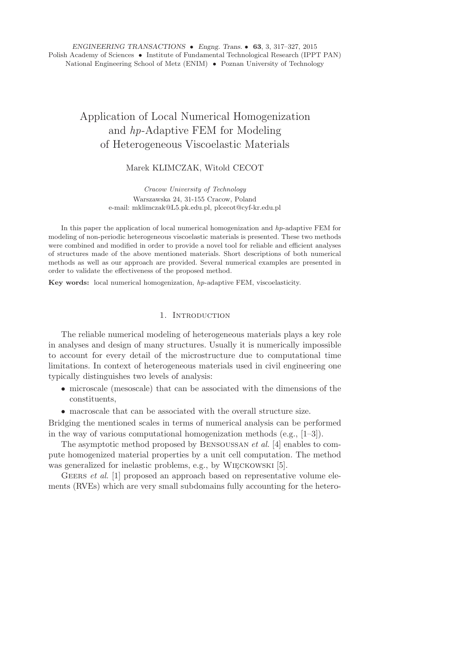# Application of Local Numerical Homogenization and *hp*-Adaptive FEM for Modeling of Heterogeneous Viscoelastic Materials

# Marek KLIMCZAK, Witold CECOT

*Cracow University of Technology* Warszawska 24, 31-155 Cracow, Poland e-mail: mklimczak@L5.pk.edu.pl, plcecot@cyf-kr.edu.pl

In this paper the application of local numerical homogenization and *hp*-adaptive FEM for modeling of non-periodic heterogeneous viscoelastic materials is presented. These two methods were combined and modified in order to provide a novel tool for reliable and efficient analyses of structures made of the above mentioned materials. Short descriptions of both numerical methods as well as our approach are provided. Several numerical examples are presented in order to validate the effectiveness of the proposed method.

**Key words:** local numerical homogenization, *hp*-adaptive FEM, viscoelasticity.

### 1. INTRODUCTION

The reliable numerical modeling of heterogeneous materials plays a key role in analyses and design of many structures. Usually it is numerically impossible to account for every detail of the microstructure due to computational time limitations. In context of heterogeneous materials used in civil engineering one typically distinguishes two levels of analysis:

- microscale (mesoscale) that can be associated with the dimensions of the constituents,
- macroscale that can be associated with the overall structure size.

Bridging the mentioned scales in terms of numerical analysis can be performed in the way of various computational homogenization methods (e.g.,  $[1-3]$ ).

The asymptotic method proposed by Bensoussan *et al.* [4] enables to compute homogenized material properties by a unit cell computation. The method was generalized for inelastic problems, e.g., by WIĘCKOWSKI [5].

GEERS *et al.* [1] proposed an approach based on representative volume elements (RVEs) which are very small subdomains fully accounting for the hetero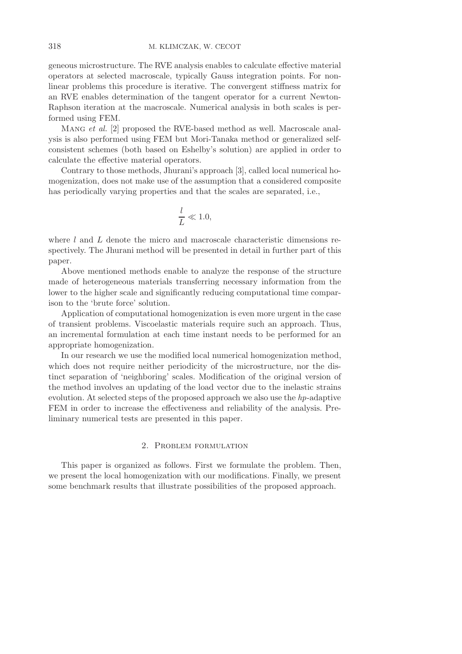geneous microstructure. The RVE analysis enables to calculate effective material operators at selected macroscale, typically Gauss integration points. For nonlinear problems this procedure is iterative. The convergent stiffness matrix for an RVE enables determination of the tangent operator for a current Newton-Raphson iteration at the macroscale. Numerical analysis in both scales is performed using FEM.

Mang *et al.* [2] proposed the RVE-based method as well. Macroscale analysis is also performed using FEM but Mori-Tanaka method or generalized selfconsistent schemes (both based on Eshelby's solution) are applied in order to calculate the effective material operators.

Contrary to those methods, Jhurani's approach [3], called local numerical homogenization, does not make use of the assumption that a considered composite has periodically varying properties and that the scales are separated, i.e.,

$$
\frac{l}{L} \ll 1.0,
$$

where  $l$  and  $L$  denote the micro and macroscale characteristic dimensions respectively. The Jhurani method will be presented in detail in further part of this paper.

Above mentioned methods enable to analyze the response of the structure made of heterogeneous materials transferring necessary information from the lower to the higher scale and significantly reducing computational time comparison to the 'brute force' solution.

Application of computational homogenization is even more urgent in the case of transient problems. Viscoelastic materials require such an approach. Thus, an incremental formulation at each time instant needs to be performed for an appropriate homogenization.

In our research we use the modified local numerical homogenization method, which does not require neither periodicity of the microstructure, nor the distinct separation of 'neighboring' scales. Modification of the original version of the method involves an updating of the load vector due to the inelastic strains evolution. At selected steps of the proposed approach we also use the *hp*-adaptive FEM in order to increase the effectiveness and reliability of the analysis. Preliminary numerical tests are presented in this paper.

# 2. Problem formulation

This paper is organized as follows. First we formulate the problem. Then, we present the local homogenization with our modifications. Finally, we present some benchmark results that illustrate possibilities of the proposed approach.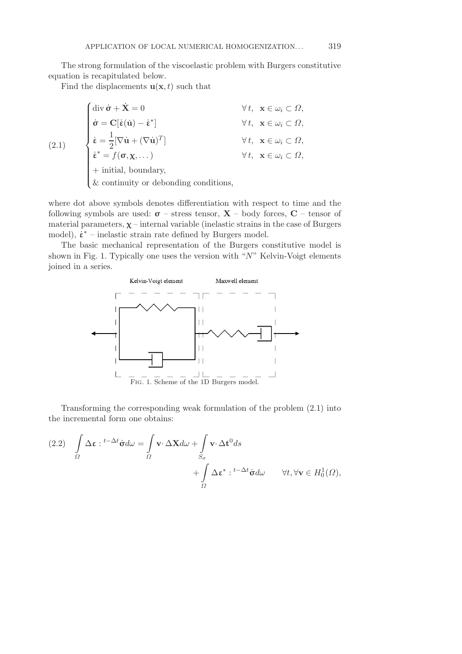The strong formulation of the viscoelastic problem with Burgers constitutive equation is recapitulated below.

Find the displacements  $\mathbf{u}(\mathbf{x}, t)$  such that

$$
(2.1)
$$
\n
$$
\begin{cases}\n\text{div }\dot{\mathbf{v}} + \dot{\mathbf{X}} = 0 & \forall t, \ \mathbf{x} \in \omega_i \subset \Omega, \\
\dot{\mathbf{v}} = \mathbf{C}[\dot{\mathbf{\varepsilon}}(\dot{\mathbf{u}}) - \dot{\mathbf{\varepsilon}}^*] & \forall t, \ \mathbf{x} \in \omega_i \subset \Omega, \\
\dot{\mathbf{\varepsilon}} = \frac{1}{2} [\nabla \dot{\mathbf{u}} + (\nabla \dot{\mathbf{u}})^T] & \forall t, \ \mathbf{x} \in \omega_i \subset \Omega, \\
\dot{\mathbf{\varepsilon}}^* = f(\mathbf{\sigma}, \mathbf{\chi}, \dots) & \forall t, \ \mathbf{x} \in \omega_i \subset \Omega, \\
+ \text{ initial, boundary}, \\
&\& \text{continuity or debonding conditions},\n\end{cases}
$$

where dot above symbols denotes differentiation with respect to time and the following symbols are used:  $\sigma$  – stress tensor, **X** – body forces, **C** – tensor of material parameters,  $\chi$  – internal variable (inelastic strains in the case of Burgers model),  $\dot{\varepsilon}^*$  – inelastic strain rate defined by Burgers model.

The basic mechanical representation of the Burgers constitutive model is shown in Fig. 1. Typically one uses the version with " $N$ " Kelvin-Voigt elements joined in a series.



Transforming the corresponding weak formulation of the problem (2.1) into the incremental form one obtains:

(2.2) 
$$
\int_{\Omega} \Delta \varepsilon : t^{-\Delta t} \dot{\sigma} d\omega = \int_{\Omega} \mathbf{v} \cdot \Delta \mathbf{X} d\omega + \int_{S_{\sigma}} \mathbf{v} \cdot \Delta t^{0} ds + \int_{\Omega} \Delta \varepsilon^{*} : t^{-\Delta t} \dot{\sigma} d\omega \qquad \forall t, \forall \mathbf{v} \in H_{0}^{1}(\Omega),
$$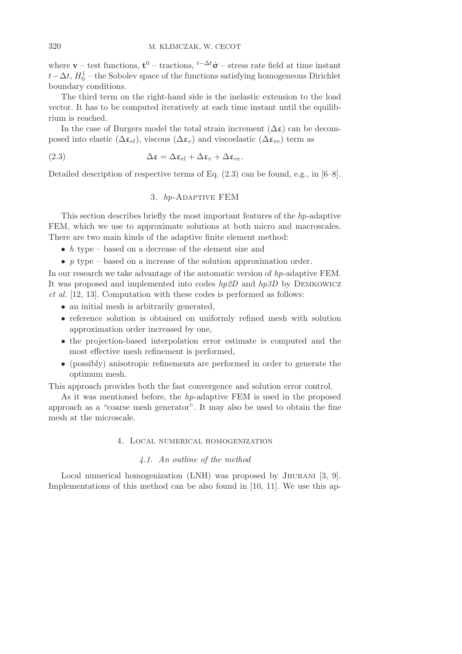where **v** – test functions,  $\mathbf{t}^0$  – tractions,  $t^{-\Delta t} \dot{\sigma}$  – stress rate field at time instant  $t - \Delta t$ ,  $H_0^1$  – the Sobolev space of the functions satisfying homogeneous Dirichlet boundary conditions.

The third term on the right-hand side is the inelastic extension to the load vector. It has to be computed iteratively at each time instant until the equilibrium is reached.

In the case of Burgers model the total strain increment  $(\Delta \epsilon)$  can be decomposed into elastic ( $\Delta \varepsilon_{el}$ ), viscous ( $\Delta \varepsilon_v$ ) and viscoelastic ( $\Delta \varepsilon_{ve}$ ) term as

(2.3) 
$$
\Delta \varepsilon = \Delta \varepsilon_{el} + \Delta \varepsilon_v + \Delta \varepsilon_{ve}.
$$

Detailed description of respective terms of Eq. (2.3) can be found, e.g., in [6–8].

# 3. *hp*-Adaptive FEM

This section describes briefly the most important features of the *hp*-adaptive FEM, which we use to approximate solutions at both micro and macroscales. There are two main kinds of the adaptive finite element method:

- *h* type based on a decrease of the element size and
- *p* type based on a increase of the solution approximation order.

In our research we take advantage of the automatic version of *hp*-adaptive FEM. It was proposed and implemented into codes *hp2D* and *hp3D* by Demkowicz *et al.* [12, 13]. Computation with these codes is performed as follows:

- an initial mesh is arbitrarily generated,
- reference solution is obtained on uniformly refined mesh with solution approximation order increased by one,
- the projection-based interpolation error estimate is computed and the most effective mesh refinement is performed,
- (possibly) anisotropic refinements are performed in order to generate the optimum mesh.

This approach provides both the fast convergence and solution error control.

As it was mentioned before, the *hp*-adaptive FEM is used in the proposed approach as a "coarse mesh generator". It may also be used to obtain the fine mesh at the microscale.

#### 4. Local numerical homogenization

# *4.1. An outline of the method*

Local numerical homogenization (LNH) was proposed by JHURANI [3, 9]. Implementations of this method can be also found in [10, 11]. We use this ap-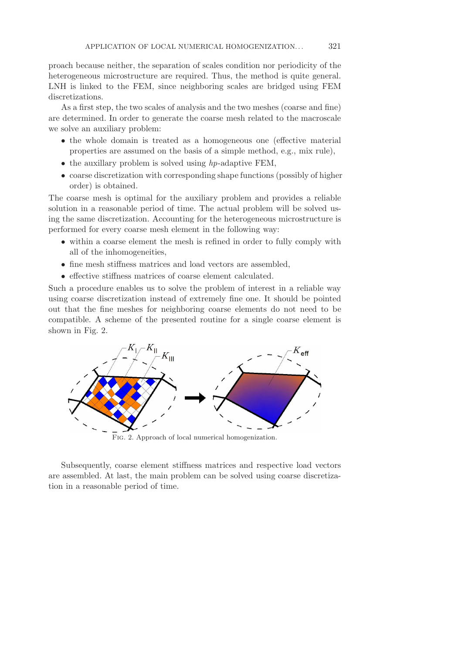proach because neither, the separation of scales condition nor periodicity of the heterogeneous microstructure are required. Thus, the method is quite general. LNH is linked to the FEM, since neighboring scales are bridged using FEM discretizations.

As a first step, the two scales of analysis and the two meshes (coarse and fine) are determined. In order to generate the coarse mesh related to the macroscale we solve an auxiliary problem:

- the whole domain is treated as a homogeneous one (effective material properties are assumed on the basis of a simple method, e.g., mix rule),
- the auxillary problem is solved using *hp*-adaptive FEM,
- coarse discretization with corresponding shape functions (possibly of higher order) is obtained.

The coarse mesh is optimal for the auxiliary problem and provides a reliable solution in a reasonable period of time. The actual problem will be solved using the same discretization. Accounting for the heterogeneous microstructure is performed for every coarse mesh element in the following way:

- within a coarse element the mesh is refined in order to fully comply with all of the inhomogeneities,
- fine mesh stiffness matrices and load vectors are assembled,
- effective stiffness matrices of coarse element calculated.

Such a procedure enables us to solve the problem of interest in a reliable way using coarse discretization instead of extremely fine one. It should be pointed out that the fine meshes for neighboring coarse elements do not need to be compatible. A scheme of the presented routine for a single coarse element is shown in Fig. 2.



Fig. 2. Approach of local numerical homogenization.

Subsequently, coarse element stiffness matrices and respective load vectors are assembled. At last, the main problem can be solved using coarse discretization in a reasonable period of time.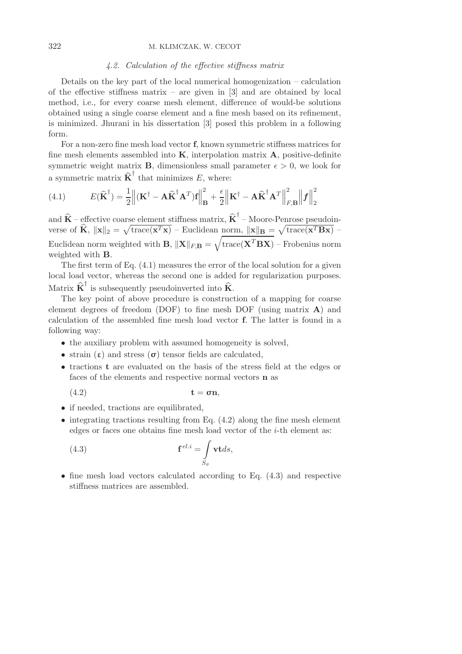# 322 M. KLIMCZAK, W. CECOT

# *4.2. Calculation of the effective stiffness matrix*

Details on the key part of the local numerical homogenization – calculation of the effective stiffness matrix – are given in  $[3]$  and are obtained by local method, i.e., for every coarse mesh element, difference of would-be solutions obtained using a single coarse element and a fine mesh based on its refinement, is minimized. Jhurani in his dissertation [3] posed this problem in a following form.

For a non-zero fine mesh load vector **f**, known symmetric stiffness matrices for fine mesh elements assembled into **K**, interpolation matrix **A**, positive-definite symmetric weight matrix **B**, dimensionless small parameter  $\epsilon > 0$ , we look for a symmetric matrix  $\hat{\mathbf{K}}^{\dagger}$  that minimizes E, where:

(4.1) 
$$
E(\widehat{\mathbf{K}}^{\dagger}) = \frac{1}{2} \|(\mathbf{K}^{\dagger} - \mathbf{A}\widehat{\mathbf{K}}^{\dagger}\mathbf{A}^T)\mathbf{f}\|_{\mathbf{B}}^2 + \frac{\epsilon}{2} \| \mathbf{K}^{\dagger} - \mathbf{A}\widehat{\mathbf{K}}^{\dagger}\mathbf{A}^T \|_{F,\mathbf{B}}^2 \| \mathbf{f} \|_2^2
$$

and  $\widehat{\mathbf{K}}$  – effective coarse element stiffness matrix,  $\widehat{\mathbf{K}}^{\dagger}$  – Moore-Penrose pseudoinverse of  $\hat{\mathbf{K}}$ ,  $\|\mathbf{x}\|_2 = \sqrt{\text{trace}(\mathbf{x}^T\mathbf{x})}$  – Euclidean norm,  $\|\mathbf{x}\|_B = \sqrt{\text{trace}(\mathbf{x}^T\mathbf{B}\mathbf{x})}$  – Euclidean norm weighted with **B**,  $\|\mathbf{X}\|_{F,B} = \sqrt{\text{trace}(\mathbf{X}^T \mathbf{B} \mathbf{X})}$  – Frobenius norm weighted with **B**.

The first term of Eq. (4.1) measures the error of the local solution for a given local load vector, whereas the second one is added for regularization purposes. Matrix  $\widehat{\mathbf{K}}^{\dagger}$  is subsequently pseudoinverted into  $\widehat{\mathbf{K}}$ .

The key point of above procedure is construction of a mapping for coarse element degrees of freedom (DOF) to fine mesh DOF (using matrix **A**) and calculation of the assembled fine mesh load vector **f**. The latter is found in a following way:

- the auxiliary problem with assumed homogeneity is solved,
- strain  $(\varepsilon)$  and stress  $(\sigma)$  tensor fields are calculated,
- tractions **t** are evaluated on the basis of the stress field at the edges or faces of the elements and respective normal vectors **n** as

$$
(4.2) \t\t t = \sigma n,
$$

- if needed, tractions are equilibrated,
- $\bullet$  integrating tractions resulting from Eq. (4.2) along the fine mesh element edges or faces one obtains fine mesh load vector of the  $i$ -th element as:

(4.3) 
$$
\mathbf{f}^{el.i} = \int_{S_{\sigma}} \mathbf{v} \mathbf{t} ds,
$$

 $\bullet$  fine mesh load vectors calculated according to Eq.  $(4.3)$  and respective stiffness matrices are assembled.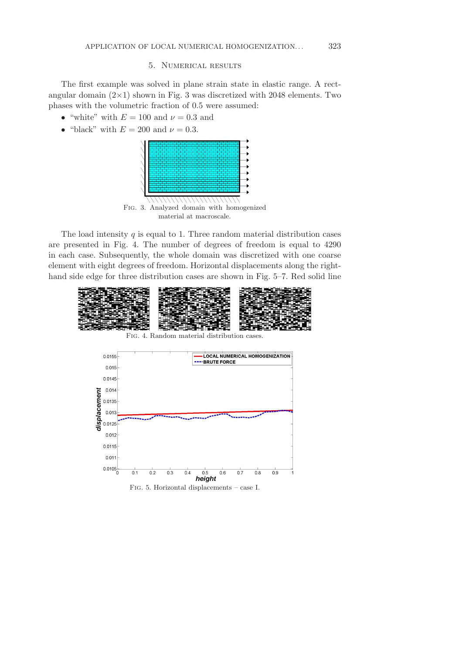# 5. Numerical results

The first example was solved in plane strain state in elastic range. A rectangular domain  $(2\times1)$  shown in Fig. 3 was discretized with 2048 elements. Two phases with the volumetric fraction of 0.5 were assumed:

- "white" with  $E = 100$  and  $\nu = 0.3$  and
- "black" with  $E = 200$  and  $\nu = 0.3$ .



The load intensity  $q$  is equal to 1. Three random material distribution cases are presented in Fig. 4. The number of degrees of freedom is equal to 4290 in each case. Subsequently, the whole domain was discretized with one coarse element with eight degrees of freedom. Horizontal displacements along the righthand side edge for three distribution cases are shown in Fig. 5–7. Red solid line

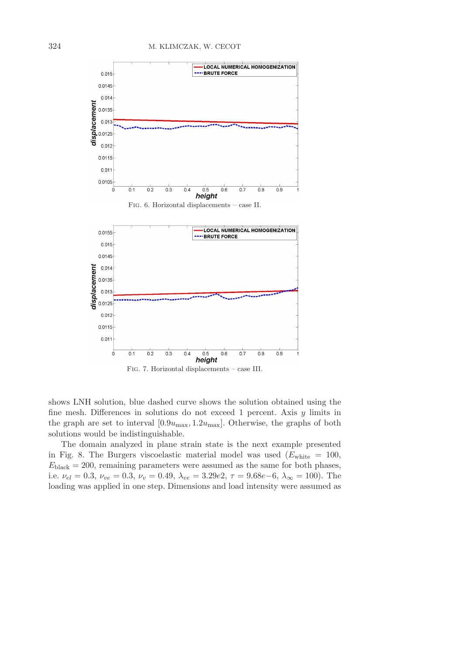

shows LNH solution, blue dashed curve shows the solution obtained using the fine mesh. Differences in solutions do not exceed 1 percent. Axis  $\eta$  limits in the graph are set to interval  $[0.9u_{\text{max}}, 1.2u_{\text{max}}]$ . Otherwise, the graphs of both solutions would be indistinguishable.

The domain analyzed in plane strain state is the next example presented in Fig. 8. The Burgers viscoelastic material model was used  $(E_{\text{white}} = 100$ ,  $E_{\text{black}} = 200$ , remaining parameters were assumed as the same for both phases, i.e.  $\nu_{el} = 0.3, \nu_{ve} = 0.3, \nu_v = 0.49, \lambda_{ve} = 3.29e2, \tau = 9.68e-6, \lambda_{\infty} = 100$ . The loading was applied in one step. Dimensions and load intensity were assumed as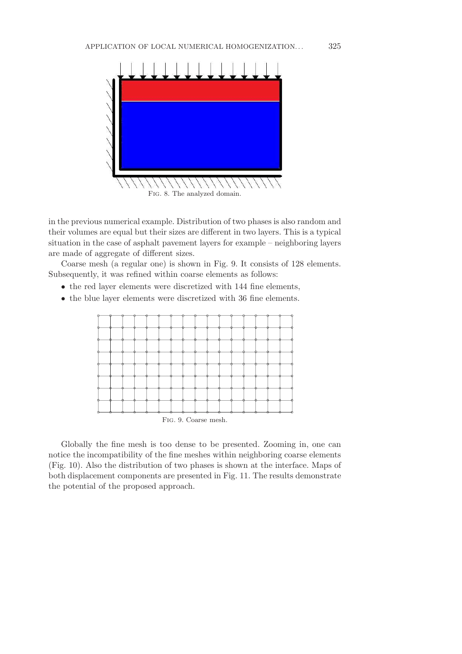

Fig. 8. The analyzed domain.

in the previous numerical example. Distribution of two phases is also random and their volumes are equal but their sizes are different in two layers. This is a typical situation in the case of asphalt pavement layers for example – neighboring layers are made of aggregate of different sizes.

Coarse mesh (a regular one) is shown in Fig. 9. It consists of 128 elements. Subsequently, it was refined within coarse elements as follows:

- the red layer elements were discretized with 144 fine elements,
- the blue layer elements were discretized with 36 fine elements.



Globally the fine mesh is too dense to be presented. Zooming in, one can notice the incompatibility of the fine meshes within neighboring coarse elements (Fig. 10). Also the distribution of two phases is shown at the interface. Maps of both displacement components are presented in Fig. 11. The results demonstrate the potential of the proposed approach.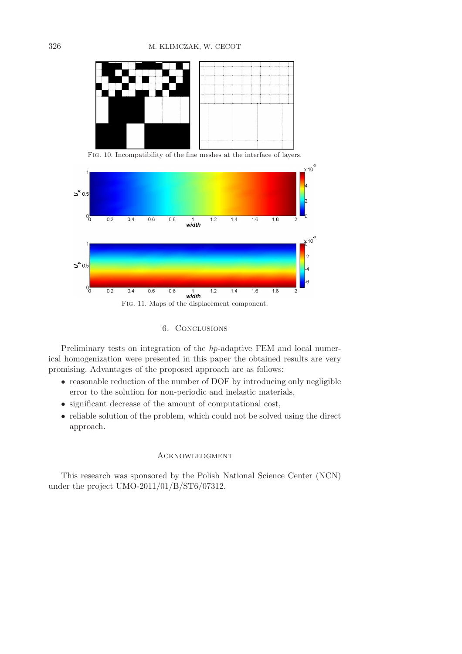

Fig. 10. Incompatibility of the fine meshes at the interface of layers.



# 6. Conclusions

Preliminary tests on integration of the *hp*-adaptive FEM and local numerical homogenization were presented in this paper the obtained results are very promising. Advantages of the proposed approach are as follows:

- reasonable reduction of the number of DOF by introducing only negligible error to the solution for non-periodic and inelastic materials,
- significant decrease of the amount of computational cost,
- reliable solution of the problem, which could not be solved using the direct approach.

# **ACKNOWLEDGMENT**

This research was sponsored by the Polish National Science Center (NCN) under the project UMO-2011/01/B/ST6/07312.